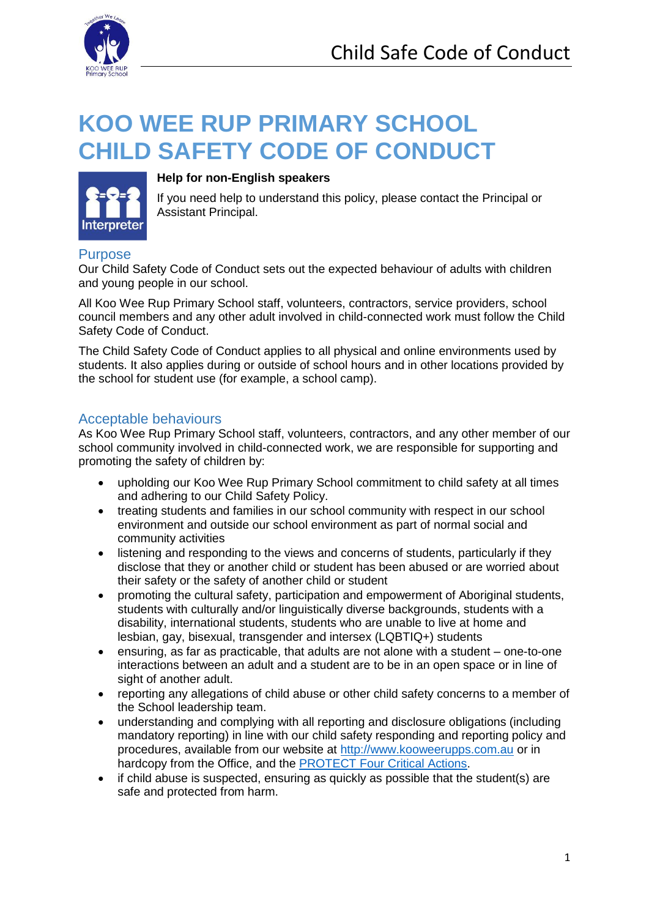

# **KOO WEE RUP PRIMARY SCHOOL CHILD SAFETY CODE OF CONDUCT**



#### **Help for non-English speakers**

If you need help to understand this policy, please contact the Principal or Assistant Principal.

#### **Purpose**

Our Child Safety Code of Conduct sets out the expected behaviour of adults with children and young people in our school.

All Koo Wee Rup Primary School staff, volunteers, contractors, service providers, school council members and any other adult involved in child-connected work must follow the Child Safety Code of Conduct.

The Child Safety Code of Conduct applies to all physical and online environments used by students. It also applies during or outside of school hours and in other locations provided by the school for student use (for example, a school camp).

#### Acceptable behaviours

As Koo Wee Rup Primary School staff, volunteers, contractors, and any other member of our school community involved in child-connected work, we are responsible for supporting and promoting the safety of children by:

- upholding our Koo Wee Rup Primary School commitment to child safety at all times and adhering to our Child Safety Policy.
- treating students and families in our school community with respect in our school environment and outside our school environment as part of normal social and community activities
- listening and responding to the views and concerns of students, particularly if they disclose that they or another child or student has been abused or are worried about their safety or the safety of another child or student
- promoting the cultural safety, participation and empowerment of Aboriginal students, students with culturally and/or linguistically diverse backgrounds, students with a disability, international students, students who are unable to live at home and lesbian, gay, bisexual, transgender and intersex (LQBTIQ+) students
- ensuring, as far as practicable, that adults are not alone with a student one-to-one interactions between an adult and a student are to be in an open space or in line of sight of another adult.
- reporting any allegations of child abuse or other child safety concerns to a member of the School leadership team.
- understanding and complying with all reporting and disclosure obligations (including mandatory reporting) in line with our child safety responding and reporting policy and procedures, available from our website at [http://www.kooweerupps.com.au](http://www.kooweerupps.com.au/) or in hardcopy from the Office, and the [PROTECT Four Critical Actions.](https://www.education.vic.gov.au/Documents/about/programs/health/protect/FourCriticalActions_ChildAbuse.pdf)
- if child abuse is suspected, ensuring as quickly as possible that the student(s) are safe and protected from harm.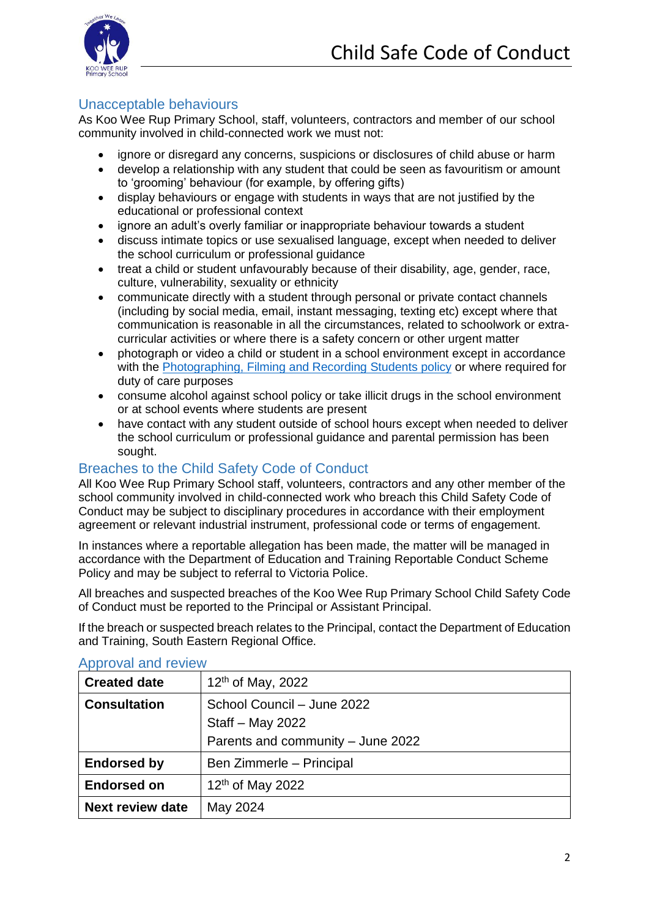

### Unacceptable behaviours

As Koo Wee Rup Primary School, staff, volunteers, contractors and member of our school community involved in child-connected work we must not:

- ignore or disregard any concerns, suspicions or disclosures of child abuse or harm
- develop a relationship with any student that could be seen as favouritism or amount to 'grooming' behaviour (for example, by offering gifts)
- display behaviours or engage with students in ways that are not justified by the educational or professional context
- ignore an adult's overly familiar or inappropriate behaviour towards a student
- discuss intimate topics or use sexualised language, except when needed to deliver the school curriculum or professional guidance
- treat a child or student unfavourably because of their disability, age, gender, race, culture, vulnerability, sexuality or ethnicity
- communicate directly with a student through personal or private contact channels (including by social media, email, instant messaging, texting etc) except where that communication is reasonable in all the circumstances, related to schoolwork or extracurricular activities or where there is a safety concern or other urgent matter
- photograph or video a child or student in a school environment except in accordance with the [Photographing, Filming and Recording Students policy](https://www2.education.vic.gov.au/pal/photographing-students/policy) or where required for duty of care purposes
- consume alcohol against school policy or take illicit drugs in the school environment or at school events where students are present
- have contact with any student outside of school hours except when needed to deliver the school curriculum or professional guidance and parental permission has been sought.

## Breaches to the Child Safety Code of Conduct

All Koo Wee Rup Primary School staff, volunteers, contractors and any other member of the school community involved in child-connected work who breach this Child Safety Code of Conduct may be subject to disciplinary procedures in accordance with their employment agreement or relevant industrial instrument, professional code or terms of engagement.

In instances where a reportable allegation has been made, the matter will be managed in accordance with the Department of Education and Training Reportable Conduct Scheme Policy and may be subject to referral to Victoria Police.

All breaches and suspected breaches of the Koo Wee Rup Primary School Child Safety Code of Conduct must be reported to the Principal or Assistant Principal.

If the breach or suspected breach relates to the Principal, contact the Department of Education and Training, South Eastern Regional Office.

| <b>Created date</b>     | $12th$ of May, 2022                                                                 |
|-------------------------|-------------------------------------------------------------------------------------|
| <b>Consultation</b>     | School Council - June 2022<br>Staff - May 2022<br>Parents and community - June 2022 |
| <b>Endorsed by</b>      | Ben Zimmerle - Principal                                                            |
| <b>Endorsed on</b>      | 12 <sup>th</sup> of May 2022                                                        |
| <b>Next review date</b> | May 2024                                                                            |

#### Approval and review